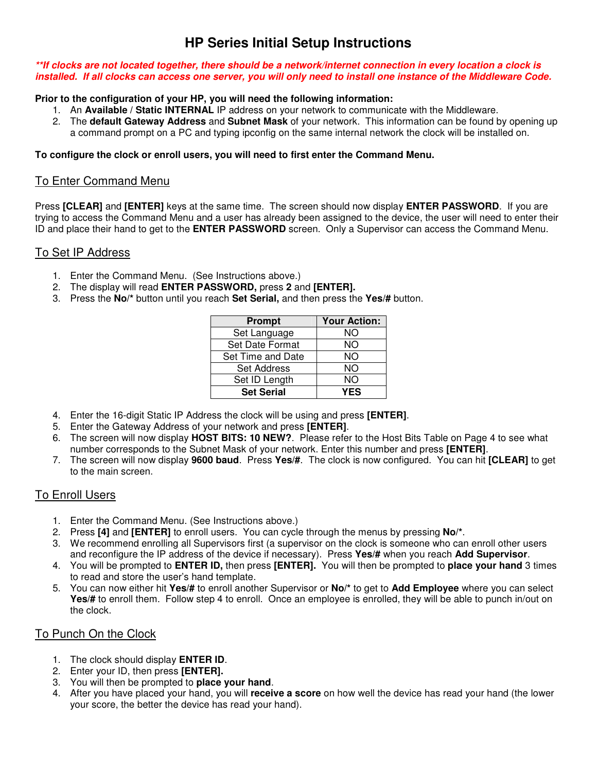# **HP Series Initial Setup Instructions**

#### **\*\*If clocks are not located together, there should be a network/internet connection in every location a clock is installed. If all clocks can access one server, you will only need to install one instance of the Middleware Code.**

#### **Prior to the configuration of your HP, you will need the following information:**

- 1. An **Available / Static INTERNAL** IP address on your network to communicate with the Middleware.
- 2. The **default Gateway Address** and **Subnet Mask** of your network. This information can be found by opening up a command prompt on a PC and typing ipconfig on the same internal network the clock will be installed on.

#### **To configure the clock or enroll users, you will need to first enter the Command Menu.**

# To Enter Command Menu

Press **[CLEAR]** and **[ENTER]** keys at the same time. The screen should now display **ENTER PASSWORD**. If you are trying to access the Command Menu and a user has already been assigned to the device, the user will need to enter their ID and place their hand to get to the **ENTER PASSWORD** screen. Only a Supervisor can access the Command Menu.

# To Set IP Address

- 1. Enter the Command Menu. (See Instructions above.)
- 2. The display will read **ENTER PASSWORD,** press **2** and **[ENTER].**
- 3. Press the **No/\*** button until you reach **Set Serial,** and then press the **Yes/#** button.

| <b>Prompt</b>          | <b>Your Action:</b> |
|------------------------|---------------------|
| Set Language           | NΟ                  |
| <b>Set Date Format</b> | ΝO                  |
| Set Time and Date      | NΟ                  |
| <b>Set Address</b>     | NΟ                  |
| Set ID Length          | NΟ                  |
| <b>Set Serial</b>      | YES                 |

- 4. Enter the 16-digit Static IP Address the clock will be using and press **[ENTER]**.
- 5. Enter the Gateway Address of your network and press **[ENTER]**.
- 6. The screen will now display **HOST BITS: 10 NEW?**.Please refer to the Host Bits Table on Page 4 to see what number corresponds to the Subnet Mask of your network. Enter this number and press **[ENTER]**.
- 7. The screen will now display **9600 baud**. Press **Yes/#**. The clock is now configured. You can hit **[CLEAR]** to get to the main screen.

# To Enroll Users

- 1. Enter the Command Menu. (See Instructions above.)
- 2. Press **[4]** and **[ENTER]** to enroll users.You can cycle through the menus by pressing **No/\***.
- 3. We recommend enrolling all Supervisors first (a supervisor on the clock is someone who can enroll other users and reconfigure the IP address of the device if necessary). Press **Yes/#** when you reach **Add Supervisor**.
- 4. You will be prompted to **ENTER ID,** then press **[ENTER].** You will then be prompted to **place your hand** 3 times to read and store the user's hand template.
- 5. You can now either hit **Yes/#** to enroll another Supervisor or **No/\*** to get to **Add Employee** where you can select **Yes/#** to enroll them. Follow step 4 to enroll. Once an employee is enrolled, they will be able to punch in/out on the clock.

# To Punch On the Clock

- 1. The clock should display **ENTER ID**.
- 2. Enter your ID, then press **[ENTER].**
- 3. You will then be prompted to **place your hand**.
- 4. After you have placed your hand, you will **receive a score** on how well the device has read your hand (the lower your score, the better the device has read your hand).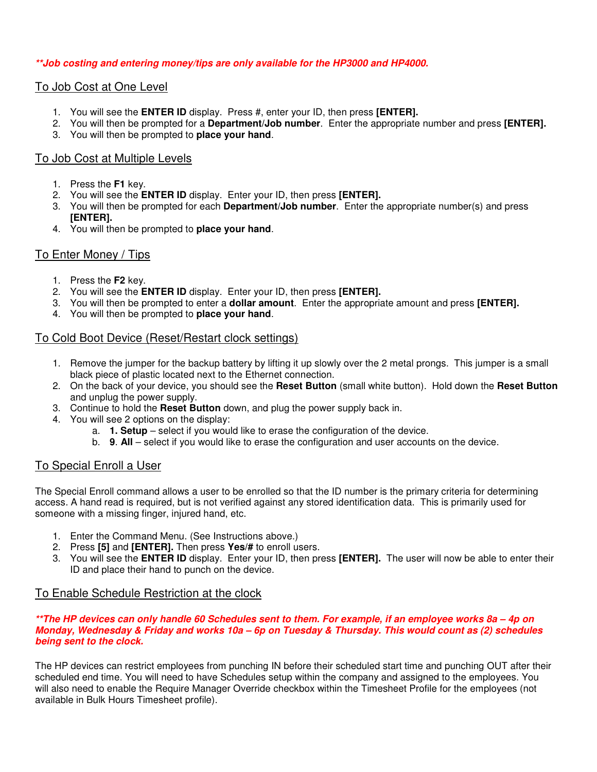#### **\*\*Job costing and entering money/tips are only available for the HP3000 and HP4000.**

## To Job Cost at One Level

- 1. You will see the **ENTER ID** display. Press #, enter your ID, then press **[ENTER].**
- 2. You will then be prompted for a **Department/Job number**. Enter the appropriate number and press **[ENTER].**
- 3. You will then be prompted to **place your hand**.

### To Job Cost at Multiple Levels

- 1. Press the **F1** key.
- 2. You will see the **ENTER ID** display. Enter your ID, then press **[ENTER].**
- 3. You will then be prompted for each **Department/Job number**. Enter the appropriate number(s) and press **[ENTER].**
- 4. You will then be prompted to **place your hand**.

## To Enter Money / Tips

- 1. Press the **F2** key.
- 2. You will see the **ENTER ID** display. Enter your ID, then press **[ENTER].**
- 3. You will then be prompted to enter a **dollar amount**. Enter the appropriate amount and press **[ENTER].**
- 4. You will then be prompted to **place your hand**.

#### To Cold Boot Device (Reset/Restart clock settings)

- 1. Remove the jumper for the backup battery by lifting it up slowly over the 2 metal prongs. This jumper is a small black piece of plastic located next to the Ethernet connection.
- 2. On the back of your device, you should see the **Reset Button** (small white button). Hold down the **Reset Button** and unplug the power supply.
- 3. Continue to hold the **Reset Button** down, and plug the power supply back in.
- 4. You will see 2 options on the display:
	- a. **1. Setup**  select if you would like to erase the configuration of the device.
	- b. **9**. **All**  select if you would like to erase the configuration and user accounts on the device.

# To Special Enroll a User

The Special Enroll command allows a user to be enrolled so that the ID number is the primary criteria for determining access. A hand read is required, but is not verified against any stored identification data. This is primarily used for someone with a missing finger, injured hand, etc.

- 1. Enter the Command Menu. (See Instructions above.)
- 2. Press **[5]** and **[ENTER].** Then press **Yes/#** to enroll users.
- 3. You will see the **ENTER ID** display. Enter your ID, then press **[ENTER].** The user will now be able to enter their ID and place their hand to punch on the device.

#### To Enable Schedule Restriction at the clock

#### **\*\*The HP devices can only handle 60 Schedules sent to them. For example, if an employee works 8a – 4p on Monday, Wednesday & Friday and works 10a – 6p on Tuesday & Thursday. This would count as (2) schedules being sent to the clock.**

The HP devices can restrict employees from punching IN before their scheduled start time and punching OUT after their scheduled end time. You will need to have Schedules setup within the company and assigned to the employees. You will also need to enable the Require Manager Override checkbox within the Timesheet Profile for the employees (not available in Bulk Hours Timesheet profile).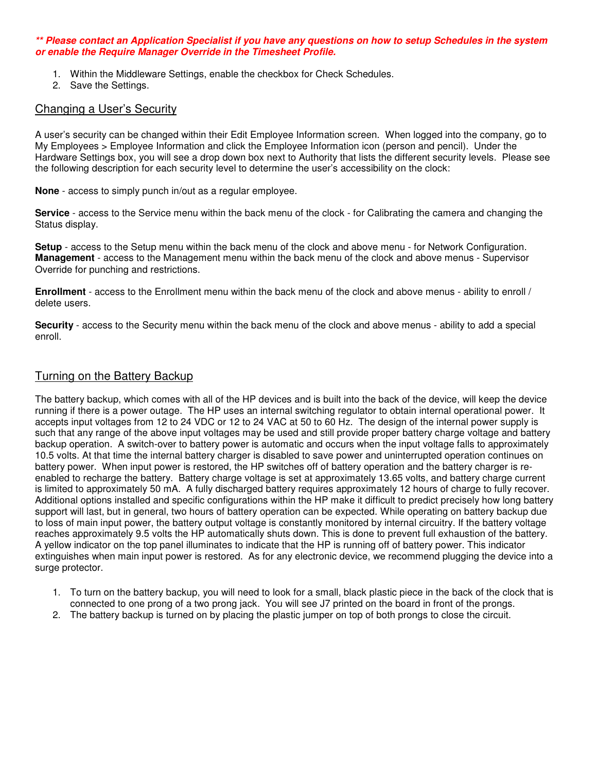#### **\*\* Please contact an Application Specialist if you have any questions on how to setup Schedules in the system or enable the Require Manager Override in the Timesheet Profile.**

- 1. Within the Middleware Settings, enable the checkbox for Check Schedules.
- 2. Save the Settings.

#### Changing a User's Security

A user's security can be changed within their Edit Employee Information screen. When logged into the company, go to My Employees > Employee Information and click the Employee Information icon (person and pencil). Under the Hardware Settings box, you will see a drop down box next to Authority that lists the different security levels. Please see the following description for each security level to determine the user's accessibility on the clock:

**None** - access to simply punch in/out as a regular employee.

**Service** - access to the Service menu within the back menu of the clock - for Calibrating the camera and changing the Status display.

**Setup** - access to the Setup menu within the back menu of the clock and above menu - for Network Configuration. **Management** - access to the Management menu within the back menu of the clock and above menus - Supervisor Override for punching and restrictions.

**Enrollment** - access to the Enrollment menu within the back menu of the clock and above menus - ability to enroll / delete users.

**Security** - access to the Security menu within the back menu of the clock and above menus - ability to add a special enroll.

#### Turning on the Battery Backup

The battery backup, which comes with all of the HP devices and is built into the back of the device, will keep the device running if there is a power outage. The HP uses an internal switching regulator to obtain internal operational power. It accepts input voltages from 12 to 24 VDC or 12 to 24 VAC at 50 to 60 Hz. The design of the internal power supply is such that any range of the above input voltages may be used and still provide proper battery charge voltage and battery backup operation. A switch-over to battery power is automatic and occurs when the input voltage falls to approximately 10.5 volts. At that time the internal battery charger is disabled to save power and uninterrupted operation continues on battery power. When input power is restored, the HP switches off of battery operation and the battery charger is reenabled to recharge the battery. Battery charge voltage is set at approximately 13.65 volts, and battery charge current is limited to approximately 50 mA. A fully discharged battery requires approximately 12 hours of charge to fully recover. Additional options installed and specific configurations within the HP make it difficult to predict precisely how long battery support will last, but in general, two hours of battery operation can be expected. While operating on battery backup due to loss of main input power, the battery output voltage is constantly monitored by internal circuitry. If the battery voltage reaches approximately 9.5 volts the HP automatically shuts down. This is done to prevent full exhaustion of the battery. A yellow indicator on the top panel illuminates to indicate that the HP is running off of battery power. This indicator extinguishes when main input power is restored. As for any electronic device, we recommend plugging the device into a surge protector.

- 1. To turn on the battery backup, you will need to look for a small, black plastic piece in the back of the clock that is connected to one prong of a two prong jack. You will see J7 printed on the board in front of the prongs.
- 2. The battery backup is turned on by placing the plastic jumper on top of both prongs to close the circuit.